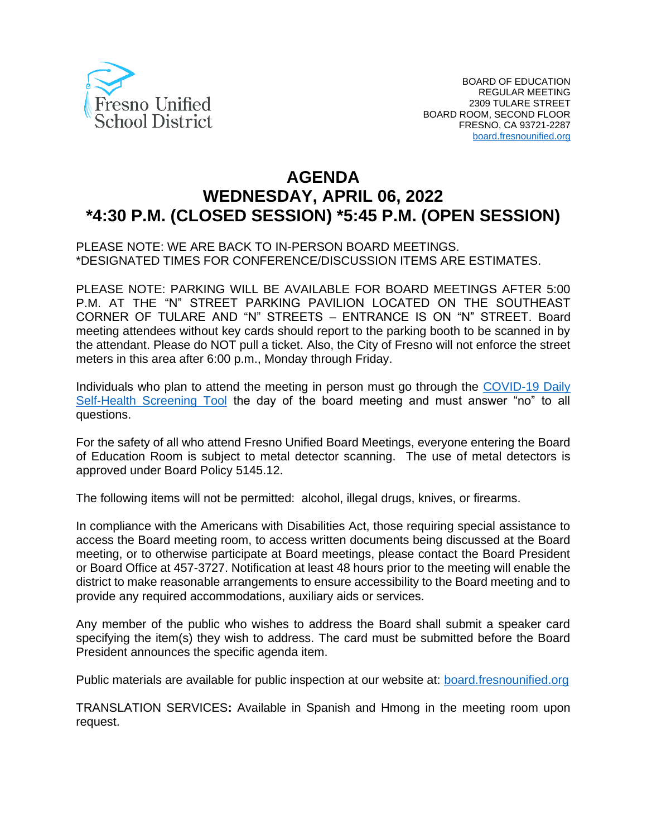

# **AGENDA WEDNESDAY, APRIL 06, 2022 \*4:30 P.M. (CLOSED SESSION) \*5:45 P.M. (OPEN SESSION)**

#### PLEASE NOTE: WE ARE BACK TO IN-PERSON BOARD MEETINGS. \*DESIGNATED TIMES FOR CONFERENCE/DISCUSSION ITEMS ARE ESTIMATES.

PLEASE NOTE: PARKING WILL BE AVAILABLE FOR BOARD MEETINGS AFTER 5:00 P.M. AT THE "N" STREET PARKING PAVILION LOCATED ON THE SOUTHEAST CORNER OF TULARE AND "N" STREETS – ENTRANCE IS ON "N" STREET. Board meeting attendees without key cards should report to the parking booth to be scanned in by the attendant. Please do NOT pull a ticket. Also, the City of Fresno will not enforce the street meters in this area after 6:00 p.m., Monday through Friday.

Individuals who plan to attend the meeting in person must go through the [COVID-19 Daily](https://www.fresnounified.org/covid19/) [Self-Health Screening Tool](https://www.fresnounified.org/covid19/) the day of the board meeting and must answer "no" to all questions.

For the safety of all who attend Fresno Unified Board Meetings, everyone entering the Board of Education Room is subject to metal detector scanning. The use of metal detectors is approved under Board Policy 5145.12.

The following items will not be permitted: alcohol, illegal drugs, knives, or firearms.

In compliance with the Americans with Disabilities Act, those requiring special assistance to access the Board meeting room, to access written documents being discussed at the Board meeting, or to otherwise participate at Board meetings, please contact the Board President or Board Office at 457-3727. Notification at least 48 hours prior to the meeting will enable the district to make reasonable arrangements to ensure accessibility to the Board meeting and to provide any required accommodations, auxiliary aids or services.

Any member of the public who wishes to address the Board shall submit a speaker card specifying the item(s) they wish to address. The card must be submitted before the Board President announces the specific agenda item.

Public materials are available for public inspection at our website at: [board.fresnounified.org](https://board.fresnounified.org/)

TRANSLATION SERVICES**:** Available in Spanish and Hmong in the meeting room upon request.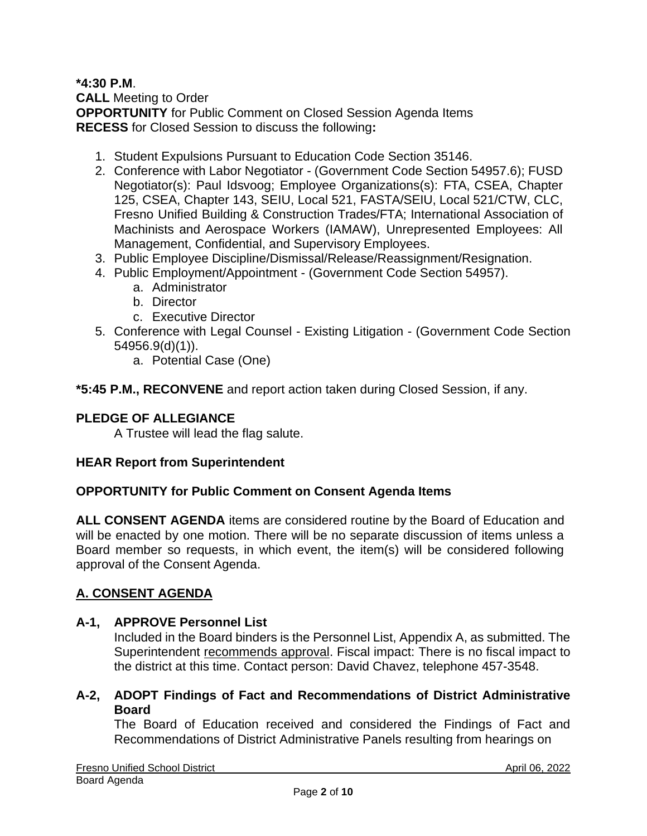### **\*4:30 P.M**.

**CALL** Meeting to Order **OPPORTUNITY** for Public Comment on Closed Session Agenda Items **RECESS** for Closed Session to discuss the following**:**

- 1. Student Expulsions Pursuant to Education Code Section 35146.
- 2. Conference with Labor Negotiator (Government Code Section 54957.6); FUSD Negotiator(s): Paul Idsvoog; Employee Organizations(s): FTA, CSEA, Chapter 125, CSEA, Chapter 143, SEIU, Local 521, FASTA/SEIU, Local 521/CTW, CLC, Fresno Unified Building & Construction Trades/FTA; International Association of Machinists and Aerospace Workers (IAMAW), Unrepresented Employees: All Management, Confidential, and Supervisory Employees.
- 3. Public Employee Discipline/Dismissal/Release/Reassignment/Resignation.
- 4. Public Employment/Appointment (Government Code Section 54957).
	- a. Administrator
	- b. Director
	- c. Executive Director
- 5. Conference with Legal Counsel Existing Litigation (Government Code Section 54956.9(d)(1)).
	- a. Potential Case (One)

**\*5:45 P.M., RECONVENE** and report action taken during Closed Session, if any.

### **PLEDGE OF ALLEGIANCE**

A Trustee will lead the flag salute.

### **HEAR Report from Superintendent**

### **OPPORTUNITY for Public Comment on Consent Agenda Items**

**ALL CONSENT AGENDA** items are considered routine by the Board of Education and will be enacted by one motion. There will be no separate discussion of items unless a Board member so requests, in which event, the item(s) will be considered following approval of the Consent Agenda.

## **A. CONSENT AGENDA**

### **A-1, APPROVE Personnel List**

Included in the Board binders is the Personnel List, Appendix A, as submitted. The Superintendent recommends approval. Fiscal impact: There is no fiscal impact to the district at this time. Contact person: David Chavez, telephone 457-3548.

**A-2, ADOPT Findings of Fact and Recommendations of District Administrative Board**

The Board of Education received and considered the Findings of Fact and Recommendations of District Administrative Panels resulting from hearings on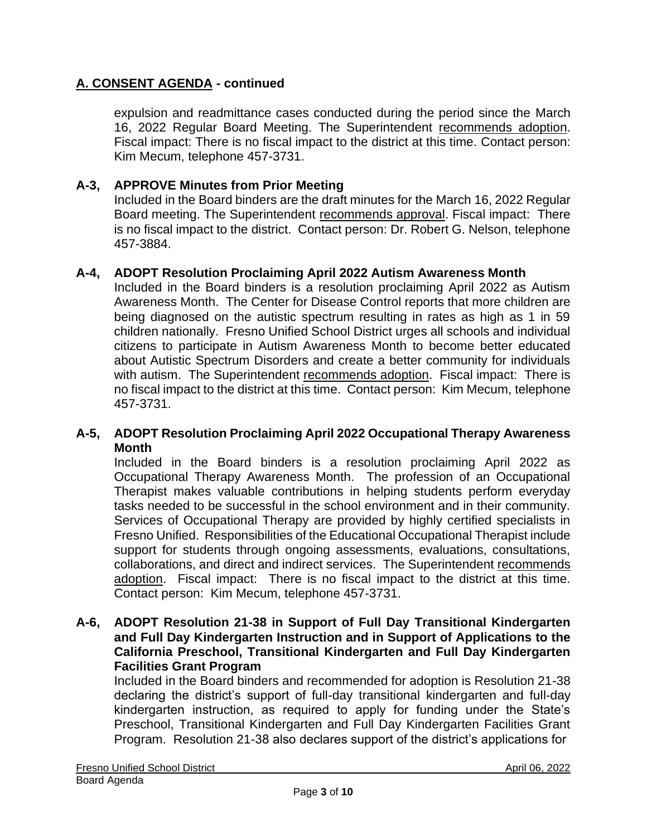expulsion and readmittance cases conducted during the period since the March 16, 2022 Regular Board Meeting. The Superintendent recommends adoption. Fiscal impact: There is no fiscal impact to the district at this time. Contact person: Kim Mecum, telephone 457-3731.

### **A-3, APPROVE Minutes from Prior Meeting**

Included in the Board binders are the draft minutes for the March 16, 2022 Regular Board meeting. The Superintendent recommends approval. Fiscal impact: There is no fiscal impact to the district. Contact person: Dr. Robert G. Nelson, telephone 457-3884.

### **A-4, ADOPT Resolution Proclaiming April 2022 Autism Awareness Month**

Included in the Board binders is a resolution proclaiming April 2022 as Autism Awareness Month. The Center for Disease Control reports that more children are being diagnosed on the autistic spectrum resulting in rates as high as 1 in 59 children nationally. Fresno Unified School District urges all schools and individual citizens to participate in Autism Awareness Month to become better educated about Autistic Spectrum Disorders and create a better community for individuals with autism. The Superintendent recommends adoption. Fiscal impact: There is no fiscal impact to the district at this time. Contact person: Kim Mecum, telephone 457-3731.

### **A-5, ADOPT Resolution Proclaiming April 2022 Occupational Therapy Awareness Month**

Included in the Board binders is a resolution proclaiming April 2022 as Occupational Therapy Awareness Month. The profession of an Occupational Therapist makes valuable contributions in helping students perform everyday tasks needed to be successful in the school environment and in their community. Services of Occupational Therapy are provided by highly certified specialists in Fresno Unified. Responsibilities of the Educational Occupational Therapist include support for students through ongoing assessments, evaluations, consultations, collaborations, and direct and indirect services. The Superintendent recommends adoption. Fiscal impact: There is no fiscal impact to the district at this time. Contact person: Kim Mecum, telephone 457-3731.

#### **A-6, ADOPT Resolution 21-38 in Support of Full Day Transitional Kindergarten and Full Day Kindergarten Instruction and in Support of Applications to the California Preschool, Transitional Kindergarten and Full Day Kindergarten Facilities Grant Program**

Included in the Board binders and recommended for adoption is Resolution 21-38 declaring the district's support of full-day transitional kindergarten and full-day kindergarten instruction, as required to apply for funding under the State's Preschool, Transitional Kindergarten and Full Day Kindergarten Facilities Grant Program. Resolution 21-38 also declares support of the district's applications for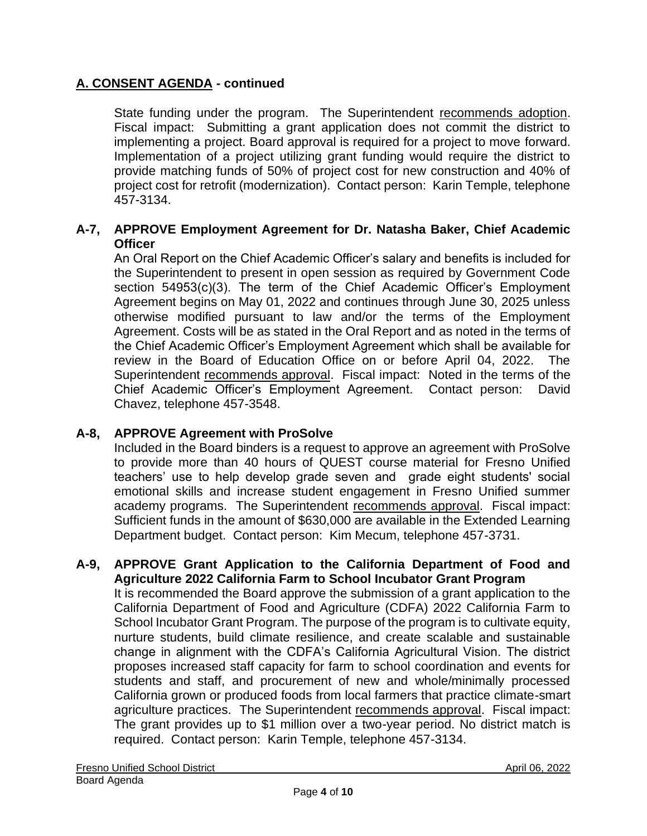State funding under the program. The Superintendent recommends adoption. Fiscal impact: Submitting a grant application does not commit the district to implementing a project. Board approval is required for a project to move forward. Implementation of a project utilizing grant funding would require the district to provide matching funds of 50% of project cost for new construction and 40% of project cost for retrofit (modernization). Contact person: Karin Temple, telephone 457-3134.

# **A-7, APPROVE Employment Agreement for Dr. Natasha Baker, Chief Academic Officer**

An Oral Report on the Chief Academic Officer's salary and benefits is included for the Superintendent to present in open session as required by Government Code section 54953(c)(3). The term of the Chief Academic Officer's Employment Agreement begins on May 01, 2022 and continues through June 30, 2025 unless otherwise modified pursuant to law and/or the terms of the Employment Agreement. Costs will be as stated in the Oral Report and as noted in the terms of the Chief Academic Officer's Employment Agreement which shall be available for review in the Board of Education Office on or before April 04, 2022. The Superintendent recommends approval. Fiscal impact: Noted in the terms of the Chief Academic Officer's Employment Agreement. Contact person: David Chavez, telephone 457-3548.

## **A-8, APPROVE Agreement with ProSolve**

Included in the Board binders is a request to approve an agreement with ProSolve to provide more than 40 hours of QUEST course material for Fresno Unified teachers' use to help develop grade seven and grade eight students' social emotional skills and increase student engagement in Fresno Unified summer academy programs. The Superintendent recommends approval. Fiscal impact: Sufficient funds in the amount of \$630,000 are available in the Extended Learning Department budget. Contact person: Kim Mecum, telephone 457-3731.

### **A-9, APPROVE Grant Application to the California Department of Food and Agriculture 2022 California Farm to School Incubator Grant Program**

It is recommended the Board approve the submission of a grant application to the California Department of Food and Agriculture (CDFA) 2022 California Farm to School Incubator Grant Program. The purpose of the program is to cultivate equity, nurture students, build climate resilience, and create scalable and sustainable change in alignment with the CDFA's California Agricultural Vision. The district proposes increased staff capacity for farm to school coordination and events for students and staff, and procurement of new and whole/minimally processed California grown or produced foods from local farmers that practice climate-smart agriculture practices. The Superintendent recommends approval. Fiscal impact: The grant provides up to \$1 million over a two-year period. No district match is required. Contact person: Karin Temple, telephone 457-3134.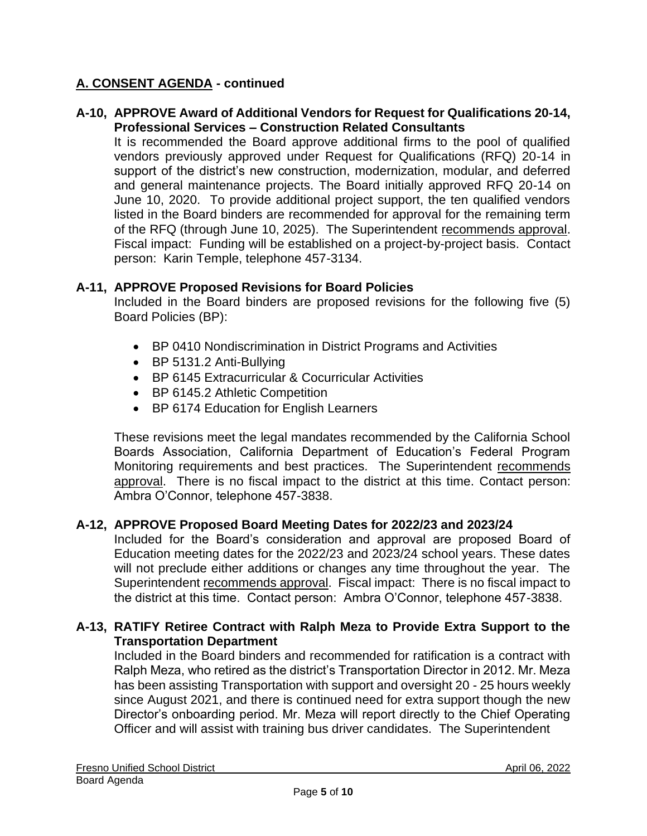### **A-10, APPROVE Award of Additional Vendors for Request for Qualifications 20-14, Professional Services – Construction Related Consultants**

It is recommended the Board approve additional firms to the pool of qualified vendors previously approved under Request for Qualifications (RFQ) 20-14 in support of the district's new construction, modernization, modular, and deferred and general maintenance projects. The Board initially approved RFQ 20-14 on June 10, 2020. To provide additional project support, the ten qualified vendors listed in the Board binders are recommended for approval for the remaining term of the RFQ (through June 10, 2025). The Superintendent recommends approval. Fiscal impact: Funding will be established on a project-by-project basis. Contact person: Karin Temple, telephone 457-3134.

### **A-11, APPROVE Proposed Revisions for Board Policies**

Included in the Board binders are proposed revisions for the following five (5) Board Policies (BP):

- BP 0410 Nondiscrimination in District Programs and Activities
- BP 5131.2 Anti-Bullying
- BP 6145 Extracurricular & Cocurricular Activities
- BP 6145.2 Athletic Competition
- BP 6174 Education for English Learners

These revisions meet the legal mandates recommended by the California School Boards Association, California Department of Education's Federal Program Monitoring requirements and best practices. The Superintendent recommends approval. There is no fiscal impact to the district at this time. Contact person: Ambra O'Connor, telephone 457-3838.

### **A-12, APPROVE Proposed Board Meeting Dates for 2022/23 and 2023/24**

Included for the Board's consideration and approval are proposed Board of Education meeting dates for the 2022/23 and 2023/24 school years. These dates will not preclude either additions or changes any time throughout the year. The Superintendent recommends approval. Fiscal impact: There is no fiscal impact to the district at this time. Contact person: Ambra O'Connor, telephone 457-3838.

### **A-13, RATIFY Retiree Contract with Ralph Meza to Provide Extra Support to the Transportation Department**

Included in the Board binders and recommended for ratification is a contract with Ralph Meza, who retired as the district's Transportation Director in 2012. Mr. Meza has been assisting Transportation with support and oversight 20 - 25 hours weekly since August 2021, and there is continued need for extra support though the new Director's onboarding period. Mr. Meza will report directly to the Chief Operating Officer and will assist with training bus driver candidates. The Superintendent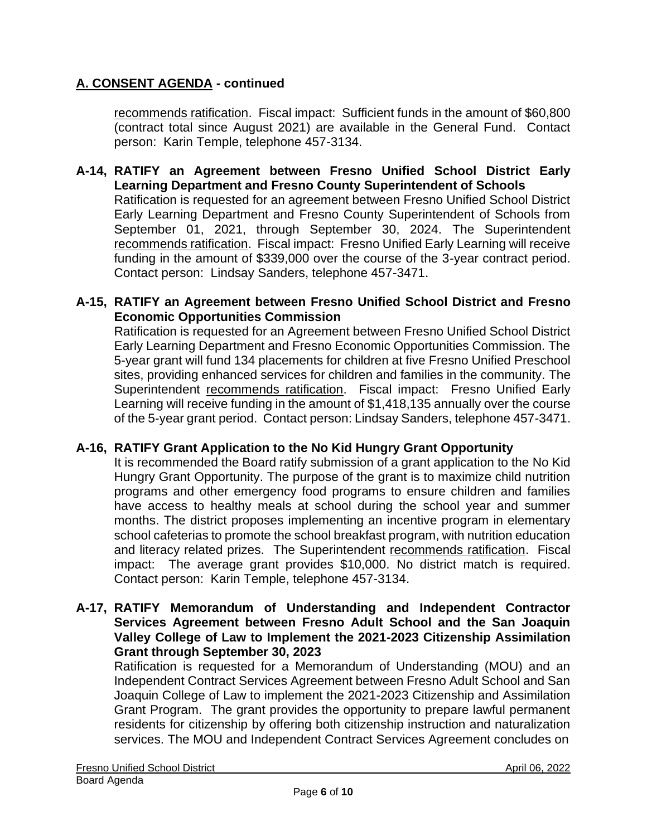recommends ratification. Fiscal impact: Sufficient funds in the amount of \$60,800 (contract total since August 2021) are available in the General Fund. Contact person: Karin Temple, telephone 457-3134.

**A-14, RATIFY an Agreement between Fresno Unified School District Early Learning Department and Fresno County Superintendent of Schools** Ratification is requested for an agreement between Fresno Unified School District Early Learning Department and Fresno County Superintendent of Schools from September 01, 2021, through September 30, 2024. The Superintendent recommends ratification. Fiscal impact: Fresno Unified Early Learning will receive funding in the amount of \$339,000 over the course of the 3-year contract period. Contact person: Lindsay Sanders, telephone 457-3471.

### **A-15, RATIFY an Agreement between Fresno Unified School District and Fresno Economic Opportunities Commission**

Ratification is requested for an Agreement between Fresno Unified School District Early Learning Department and Fresno Economic Opportunities Commission. The 5-year grant will fund 134 placements for children at five Fresno Unified Preschool sites, providing enhanced services for children and families in the community. The Superintendent recommends ratification. Fiscal impact: Fresno Unified Early Learning will receive funding in the amount of \$1,418,135 annually over the course of the 5-year grant period. Contact person: Lindsay Sanders, telephone 457-3471.

## **A-16, RATIFY Grant Application to the No Kid Hungry Grant Opportunity**

It is recommended the Board ratify submission of a grant application to the No Kid Hungry Grant Opportunity. The purpose of the grant is to maximize child nutrition programs and other emergency food programs to ensure children and families have access to healthy meals at school during the school year and summer months. The district proposes implementing an incentive program in elementary school cafeterias to promote the school breakfast program, with nutrition education and literacy related prizes. The Superintendent recommends ratification. Fiscal impact: The average grant provides \$10,000. No district match is required. Contact person: Karin Temple, telephone 457-3134.

#### **A-17, RATIFY Memorandum of Understanding and Independent Contractor Services Agreement between Fresno Adult School and the San Joaquin Valley College of Law to Implement the 2021-2023 Citizenship Assimilation Grant through September 30, 2023**

Ratification is requested for a Memorandum of Understanding (MOU) and an Independent Contract Services Agreement between Fresno Adult School and San Joaquin College of Law to implement the 2021-2023 Citizenship and Assimilation Grant Program. The grant provides the opportunity to prepare lawful permanent residents for citizenship by offering both citizenship instruction and naturalization services. The MOU and Independent Contract Services Agreement concludes on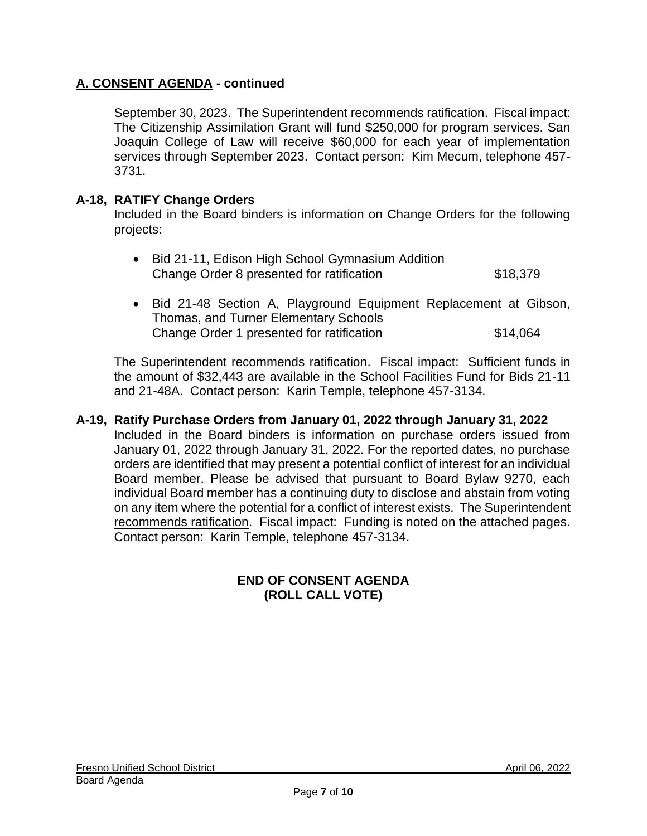September 30, 2023. The Superintendent recommends ratification. Fiscal impact: The Citizenship Assimilation Grant will fund \$250,000 for program services. San Joaquin College of Law will receive \$60,000 for each year of implementation services through September 2023. Contact person: Kim Mecum, telephone 457- 3731.

### **A-18, RATIFY Change Orders**

Included in the Board binders is information on Change Orders for the following projects:

- Bid 21-11, Edison High School Gymnasium Addition Change Order 8 presented for ratification  $$18,379$
- Bid 21-48 Section A, Playground Equipment Replacement at Gibson, Thomas, and Turner Elementary Schools Change Order 1 presented for ratification  $$14,064$

The Superintendent recommends ratification. Fiscal impact: Sufficient funds in the amount of \$32,443 are available in the School Facilities Fund for Bids 21-11 and 21-48A. Contact person: Karin Temple, telephone 457-3134.

### **A-19, Ratify Purchase Orders from January 01, 2022 through January 31, 2022**

Included in the Board binders is information on purchase orders issued from January 01, 2022 through January 31, 2022. For the reported dates, no purchase orders are identified that may present a potential conflict of interest for an individual Board member. Please be advised that pursuant to Board Bylaw 9270, each individual Board member has a continuing duty to disclose and abstain from voting on any item where the potential for a conflict of interest exists. The Superintendent recommends ratification. Fiscal impact: Funding is noted on the attached pages. Contact person: Karin Temple, telephone 457-3134.

### **END OF CONSENT AGENDA (ROLL CALL VOTE)**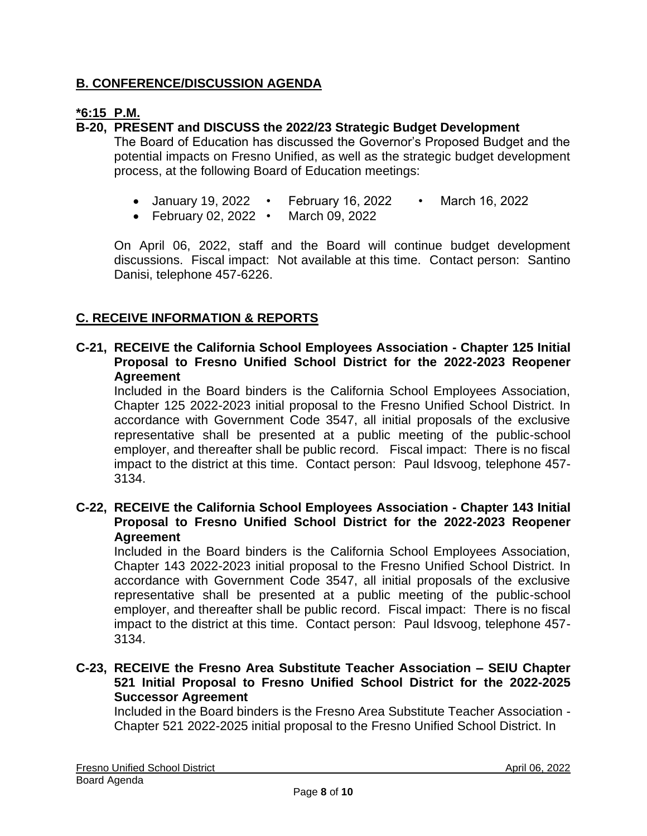# **B. CONFERENCE/DISCUSSION AGENDA**

# **\*6:15 P.M.**

# **B-20, PRESENT and DISCUSS the 2022/23 Strategic Budget Development**

The Board of Education has discussed the Governor's Proposed Budget and the potential impacts on Fresno Unified, as well as the strategic budget development process, at the following Board of Education meetings:

- January 19, 2022 February 16, 2022 March 16, 2022
- February 02, 2022 March 09, 2022

On April 06, 2022, staff and the Board will continue budget development discussions. Fiscal impact: Not available at this time. Contact person: Santino Danisi, telephone 457-6226.

# **C. RECEIVE INFORMATION & REPORTS**

**C-21, RECEIVE the California School Employees Association - Chapter 125 Initial Proposal to Fresno Unified School District for the 2022-2023 Reopener Agreement**

Included in the Board binders is the California School Employees Association, Chapter 125 2022-2023 initial proposal to the Fresno Unified School District. In accordance with Government Code 3547, all initial proposals of the exclusive representative shall be presented at a public meeting of the public-school employer, and thereafter shall be public record. Fiscal impact: There is no fiscal impact to the district at this time. Contact person: Paul Idsvoog, telephone 457- 3134.

### **C-22, RECEIVE the California School Employees Association - Chapter 143 Initial Proposal to Fresno Unified School District for the 2022-2023 Reopener Agreement**

Included in the Board binders is the California School Employees Association, Chapter 143 2022-2023 initial proposal to the Fresno Unified School District. In accordance with Government Code 3547, all initial proposals of the exclusive representative shall be presented at a public meeting of the public-school employer, and thereafter shall be public record. Fiscal impact: There is no fiscal impact to the district at this time. Contact person: Paul Idsvoog, telephone 457- 3134.

**C-23, RECEIVE the Fresno Area Substitute Teacher Association – SEIU Chapter 521 Initial Proposal to Fresno Unified School District for the 2022-2025 Successor Agreement**

Included in the Board binders is the Fresno Area Substitute Teacher Association - Chapter 521 2022-2025 initial proposal to the Fresno Unified School District. In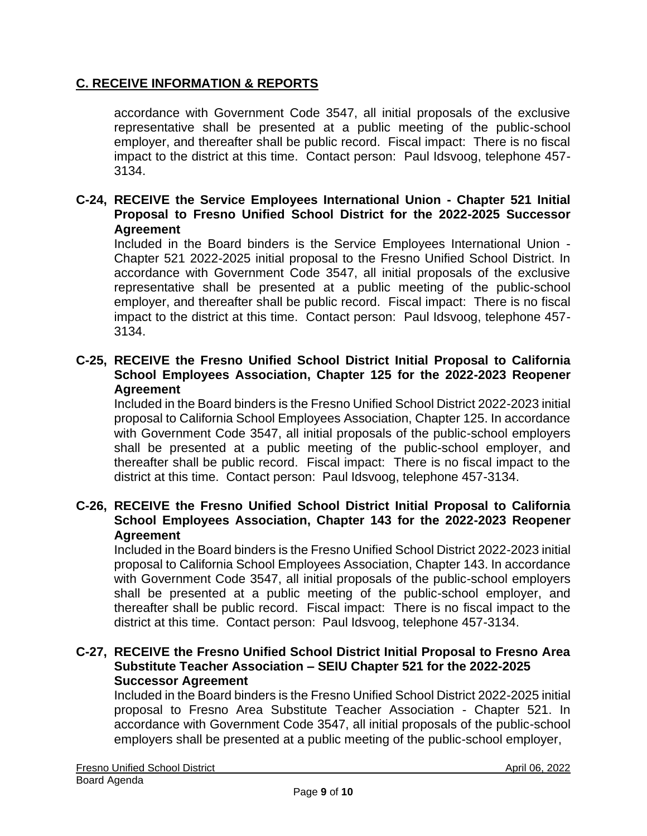# **C. RECEIVE INFORMATION & REPORTS**

accordance with Government Code 3547, all initial proposals of the exclusive representative shall be presented at a public meeting of the public-school employer, and thereafter shall be public record. Fiscal impact: There is no fiscal impact to the district at this time. Contact person: Paul Idsvoog, telephone 457- 3134.

### **C-24, RECEIVE the Service Employees International Union - Chapter 521 Initial Proposal to Fresno Unified School District for the 2022-2025 Successor Agreement**

Included in the Board binders is the Service Employees International Union - Chapter 521 2022-2025 initial proposal to the Fresno Unified School District. In accordance with Government Code 3547, all initial proposals of the exclusive representative shall be presented at a public meeting of the public-school employer, and thereafter shall be public record. Fiscal impact: There is no fiscal impact to the district at this time. Contact person: Paul Idsvoog, telephone 457- 3134.

### **C-25, RECEIVE the Fresno Unified School District Initial Proposal to California School Employees Association, Chapter 125 for the 2022-2023 Reopener Agreement**

Included in the Board binders is the Fresno Unified School District 2022-2023 initial proposal to California School Employees Association, Chapter 125. In accordance with Government Code 3547, all initial proposals of the public-school employers shall be presented at a public meeting of the public-school employer, and thereafter shall be public record. Fiscal impact: There is no fiscal impact to the district at this time. Contact person: Paul Idsvoog, telephone 457-3134.

### **C-26, RECEIVE the Fresno Unified School District Initial Proposal to California School Employees Association, Chapter 143 for the 2022-2023 Reopener Agreement**

Included in the Board binders is the Fresno Unified School District 2022-2023 initial proposal to California School Employees Association, Chapter 143. In accordance with Government Code 3547, all initial proposals of the public-school employers shall be presented at a public meeting of the public-school employer, and thereafter shall be public record. Fiscal impact: There is no fiscal impact to the district at this time. Contact person: Paul Idsvoog, telephone 457-3134.

### **C-27, RECEIVE the Fresno Unified School District Initial Proposal to Fresno Area Substitute Teacher Association – SEIU Chapter 521 for the 2022-2025 Successor Agreement**

Included in the Board binders is the Fresno Unified School District 2022-2025 initial proposal to Fresno Area Substitute Teacher Association - Chapter 521. In accordance with Government Code 3547, all initial proposals of the public-school employers shall be presented at a public meeting of the public-school employer,